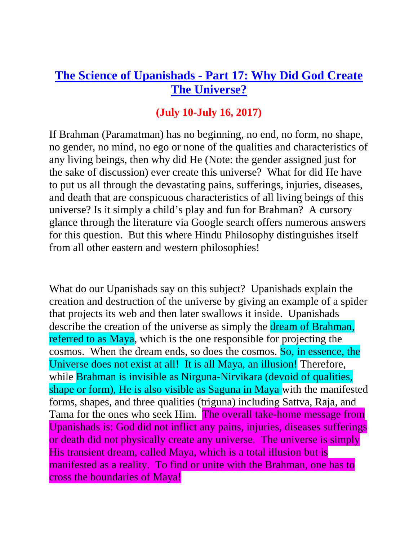## **The Science of Upanishads - [Part 17: Why Did God Create](http://muktipada.blogspot.in/2015/09/brahman-and-creation-according-to.html)  [The Universe?](http://muktipada.blogspot.in/2015/09/brahman-and-creation-according-to.html)**

## **(July 10-July 16, 2017)**

If Brahman (Paramatman) has no beginning, no end, no form, no shape, no gender, no mind, no ego or none of the qualities and characteristics of any living beings, then why did He (Note: the gender assigned just for the sake of discussion) ever create this universe? What for did He have to put us all through the devastating pains, sufferings, injuries, diseases, and death that are conspicuous characteristics of all living beings of this universe? Is it simply a child's play and fun for Brahman? A cursory glance through the literature via Google search offers numerous answers for this question. But this where Hindu Philosophy distinguishes itself from all other eastern and western philosophies!

What do our Upanishads say on this subject? Upanishads explain the creation and destruction of the universe by giving an example of a spider that projects its web and then later swallows it inside. Upanishads describe the creation of the universe as simply the dream of Brahman, referred to as Maya, which is the one responsible for projecting the cosmos. When the dream ends, so does the cosmos. So, in essence, the Universe does not exist at all! It is all Maya, an illusion! Therefore, while Brahman is invisible as Nirguna-Nirvikara (devoid of qualities, shape or form), He is also visible as Saguna in Maya with the manifested forms, shapes, and three qualities (triguna) including Sattva, Raja, and Tama for the ones who seek Him. The overall take-home message from Upanishads is: God did not inflict any pains, injuries, diseases sufferings or death did not physically create any universe. The universe is simply His transient dream, called Maya, which is a total illusion but is manifested as a reality. To find or unite with the Brahman, one has to cross the boundaries of Maya!